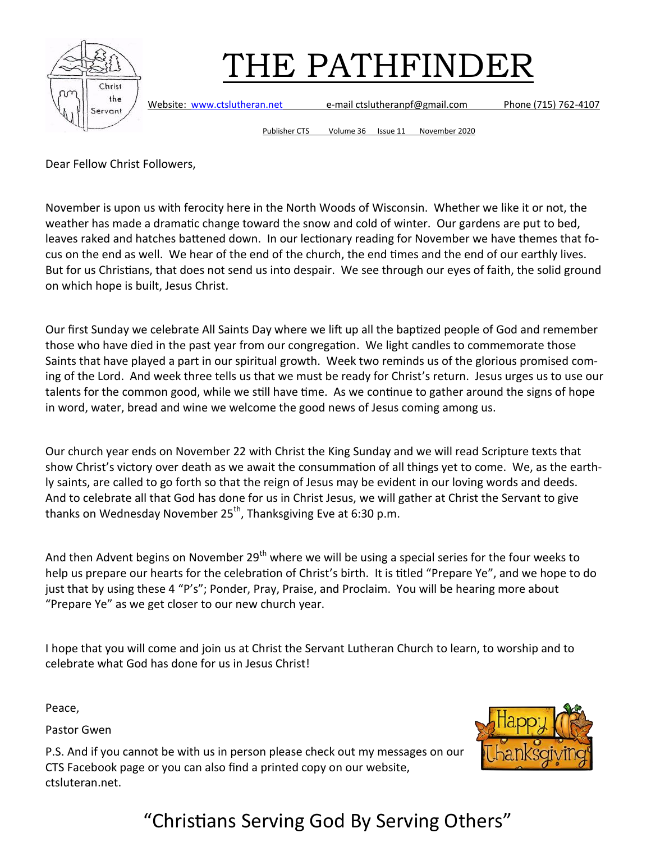

Website: [www.ctslutheran.net](http://www.ctslutheran.net/) e-mail ctslutheranpf@gmail.com Phone (715) 762-4107

Publisher CTS Volume 36 Issue 11 November 2020

Dear Fellow Christ Followers,

November is upon us with ferocity here in the North Woods of Wisconsin. Whether we like it or not, the weather has made a dramatic change toward the snow and cold of winter. Our gardens are put to bed, leaves raked and hatches battened down. In our lectionary reading for November we have themes that focus on the end as well. We hear of the end of the church, the end times and the end of our earthly lives. But for us Christians, that does not send us into despair. We see through our eyes of faith, the solid ground on which hope is built, Jesus Christ.

Our first Sunday we celebrate All Saints Day where we lift up all the baptized people of God and remember those who have died in the past year from our congregation. We light candles to commemorate those Saints that have played a part in our spiritual growth. Week two reminds us of the glorious promised coming of the Lord. And week three tells us that we must be ready for Christ's return. Jesus urges us to use our talents for the common good, while we still have time. As we continue to gather around the signs of hope in word, water, bread and wine we welcome the good news of Jesus coming among us.

Our church year ends on November 22 with Christ the King Sunday and we will read Scripture texts that show Christ's victory over death as we await the consummation of all things yet to come. We, as the earthly saints, are called to go forth so that the reign of Jesus may be evident in our loving words and deeds. And to celebrate all that God has done for us in Christ Jesus, we will gather at Christ the Servant to give thanks on Wednesday November  $25<sup>th</sup>$ , Thanksgiving Eve at 6:30 p.m.

And then Advent begins on November 29<sup>th</sup> where we will be using a special series for the four weeks to help us prepare our hearts for the celebration of Christ's birth. It is titled "Prepare Ye", and we hope to do just that by using these 4 "P's"; Ponder, Pray, Praise, and Proclaim. You will be hearing more about "Prepare Ye" as we get closer to our new church year.

I hope that you will come and join us at Christ the Servant Lutheran Church to learn, to worship and to celebrate what God has done for us in Jesus Christ!

Peace,

Pastor Gwen



P.S. And if you cannot be with us in person please check out my messages on our CTS Facebook page or you can also find a printed copy on our website, ctsluteran.net.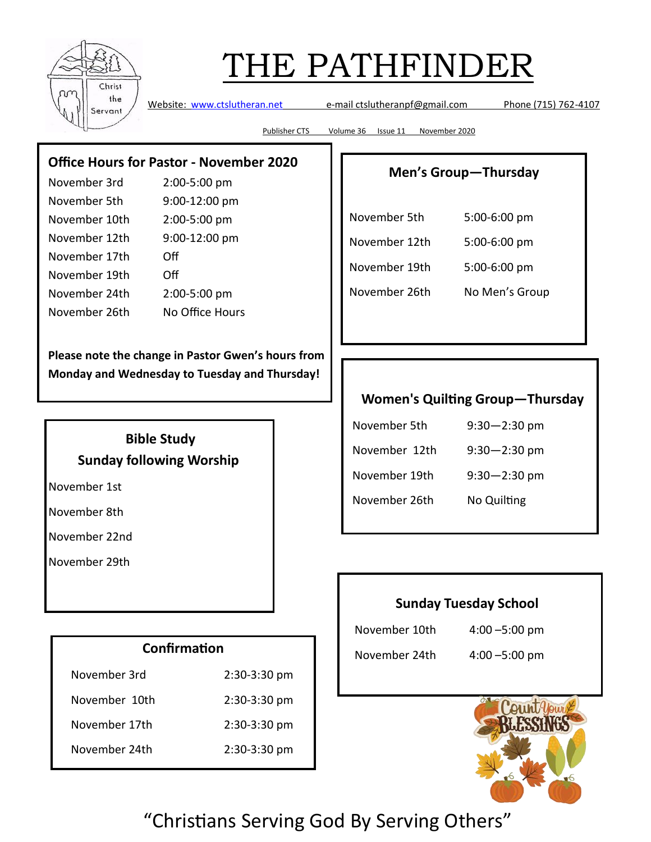

Website: [www.ctslutheran.net](http://www.ctslutheran.net/) e-mail ctslutheranpf@gmail.com Phone (715) 762-4107

Publisher CTS Volume 36 Issue 11 November 2020

#### **Office Hours for Pastor - November 2020**

| November 3rd  | 2:00-5:00 pm    |
|---------------|-----------------|
| November 5th  | 9:00-12:00 pm   |
| November 10th | 2:00-5:00 pm    |
| November 12th | 9:00-12:00 pm   |
| November 17th | Off             |
| November 19th | Οff             |
| November 24th | 2:00-5:00 pm    |
| November 26th | No Office Hours |

**Please note the change in Pastor Gwen's hours from Monday and Wednesday to Tuesday and Thursday!**

#### **Bible Study Sunday following Worship**

November 1st

November 8th

November 22nd

November 29th

| Confirmation  |                |  |  |
|---------------|----------------|--|--|
| November 3rd  | 2:30-3:30 pm   |  |  |
| November 10th | $2:30-3:30$ pm |  |  |
| November 17th | $2:30-3:30$ pm |  |  |
| November 24th | 2:30-3:30 pm   |  |  |

#### **Men's Group—Thursday**

| November 5th  | 5:00-6:00 pm   |
|---------------|----------------|
| November 12th | 5:00-6:00 pm   |
| November 19th | 5:00-6:00 pm   |
| November 26th | No Men's Group |

#### **Women's Quilting Group—Thursday**

| November 5th  | $9:30 - 2:30$ pm |
|---------------|------------------|
| November 12th | $9:30 - 2:30$ pm |
| November 19th | $9:30 - 2:30$ pm |
| November 26th | No Quilting      |

#### **Sunday Tuesday School**

November 10th 4:00 –5:00 pm November 24th 4:00 –5:00 pm

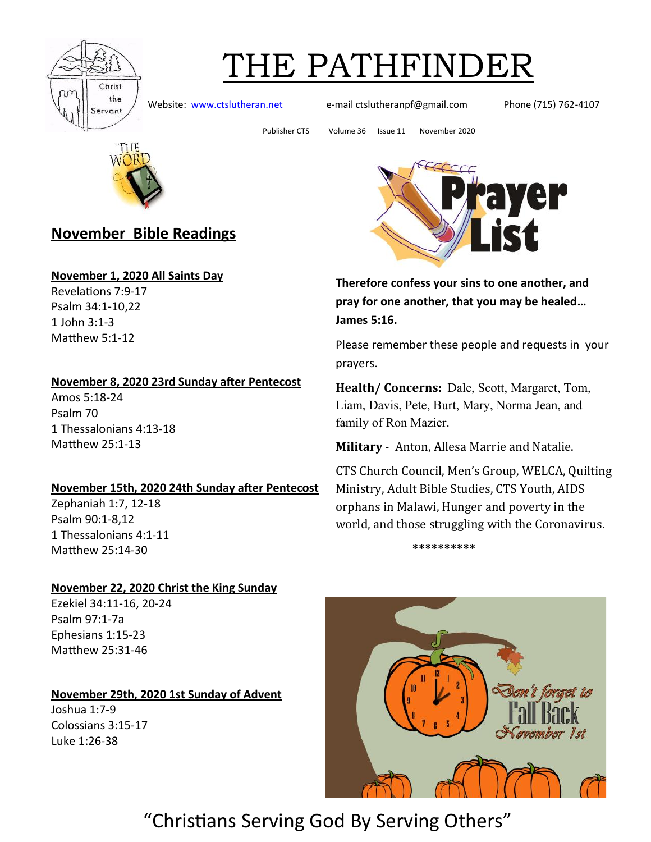

Website: [www.ctslutheran.net](http://www.ctslutheran.net/) e-mail ctslutheranpf@gmail.com Phone (715) 762-4107

Publisher CTS Volume 36 Issue 11 November 2020



### **November Bible Readings**

#### **November 1, 2020 All Saints Day**

Revelations 7:9-17 Psalm 34:1-10,22 1 John 3:1-3 Matthew 5:1-12

#### **November 8, 2020 23rd Sunday after Pentecost**

Amos 5:18-24 Psalm 70 1 Thessalonians 4:13-18 Matthew 25:1-13

#### **November 15th, 2020 24th Sunday after Pentecost**

Zephaniah 1:7, 12-18 Psalm 90:1-8,12 1 Thessalonians 4:1-11 Matthew 25:14-30

#### **November 22, 2020 Christ the King Sunday**

Ezekiel 34:11-16, 20-24 Psalm 97:1-7a Ephesians 1:15-23 Matthew 25:31-46

**November 29th, 2020 1st Sunday of Advent**

Joshua 1:7-9 Colossians 3:15-17 Luke 1:26-38



**Therefore confess your sins to one another, and pray for one another, that you may be healed… James 5:16.**

Please remember these people and requests in your prayers.

**Health/ Concerns:** Dale, Scott, Margaret, Tom, Liam, Davis, Pete, Burt, Mary, Norma Jean, and family of Ron Mazier.

**Military** - Anton, Allesa Marrie and Natalie.

CTS Church Council, Men's Group, WELCA, Quilting Ministry, Adult Bible Studies, CTS Youth, AIDS orphans in Malawi, Hunger and poverty in the world, and those struggling with the Coronavirus.



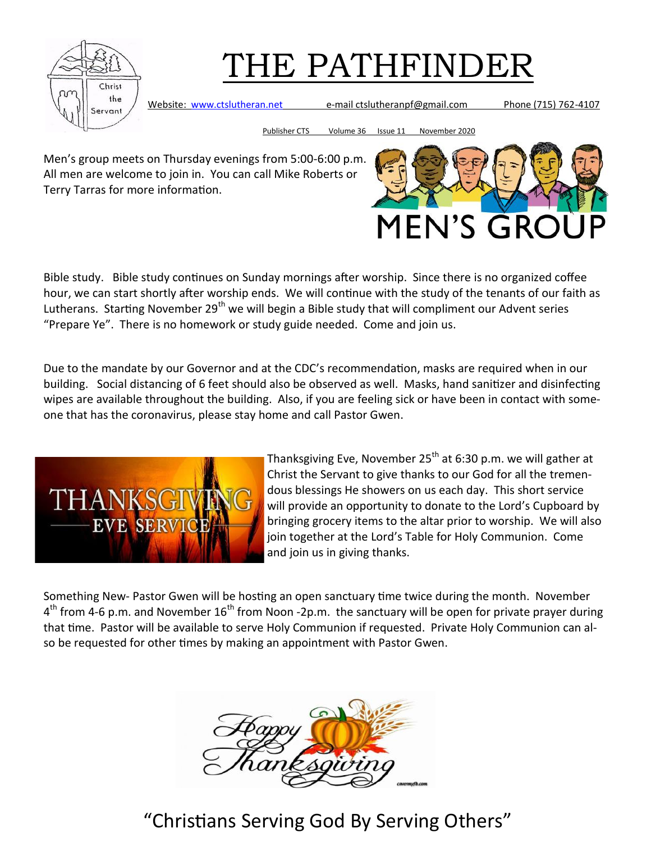

Website: [www.ctslutheran.net](http://www.ctslutheran.net/) e-mail ctslutheranpf@gmail.com Phone (715) 762-4107

Publisher CTS Volume 36 Issue 11 November 2020

Men's group meets on Thursday evenings from 5:00-6:00 p.m. All men are welcome to join in. You can call Mike Roberts or Terry Tarras for more information.



Bible study. Bible study continues on Sunday mornings after worship. Since there is no organized coffee hour, we can start shortly after worship ends. We will continue with the study of the tenants of our faith as Lutherans. Starting November 29<sup>th</sup> we will begin a Bible study that will compliment our Advent series "Prepare Ye". There is no homework or study guide needed. Come and join us.

Due to the mandate by our Governor and at the CDC's recommendation, masks are required when in our building. Social distancing of 6 feet should also be observed as well. Masks, hand sanitizer and disinfecting wipes are available throughout the building. Also, if you are feeling sick or have been in contact with someone that has the coronavirus, please stay home and call Pastor Gwen.



Thanksgiving Eve, November 25<sup>th</sup> at 6:30 p.m. we will gather at Christ the Servant to give thanks to our God for all the tremendous blessings He showers on us each day. This short service will provide an opportunity to donate to the Lord's Cupboard by bringing grocery items to the altar prior to worship. We will also join together at the Lord's Table for Holy Communion. Come and join us in giving thanks.

Something New- Pastor Gwen will be hosting an open sanctuary time twice during the month. November 4<sup>th</sup> from 4-6 p.m. and November 16<sup>th</sup> from Noon -2p.m. the sanctuary will be open for private prayer during that time. Pastor will be available to serve Holy Communion if requested. Private Holy Communion can also be requested for other times by making an appointment with Pastor Gwen.

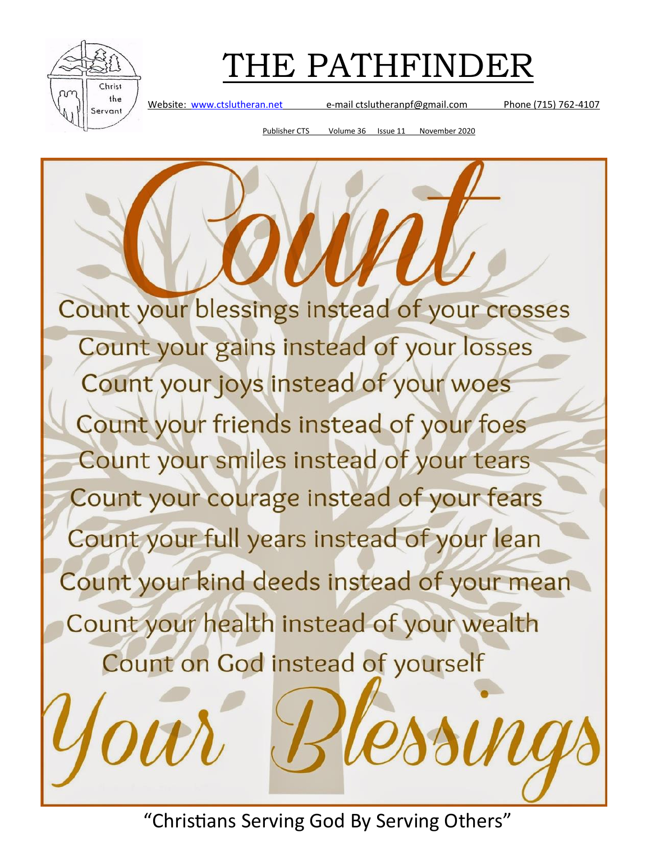

Website: [www.ctslutheran.net](http://www.ctslutheran.net/) e-mail ctslutheranpf@gmail.com Phone (715) 762-4107

Publisher CTS Volume 36 Issue 11 November 2020

Count your blessings instead of your crosses Count your gains instead of your losses Count your joys instead of your woes Count your friends instead of your foes Count your smiles instead of your tears Count your courage instead of your fears Count your full years instead of your lean Count your kind deeds instead of your mean Count your health instead of your wealth Count on God instead of yourself